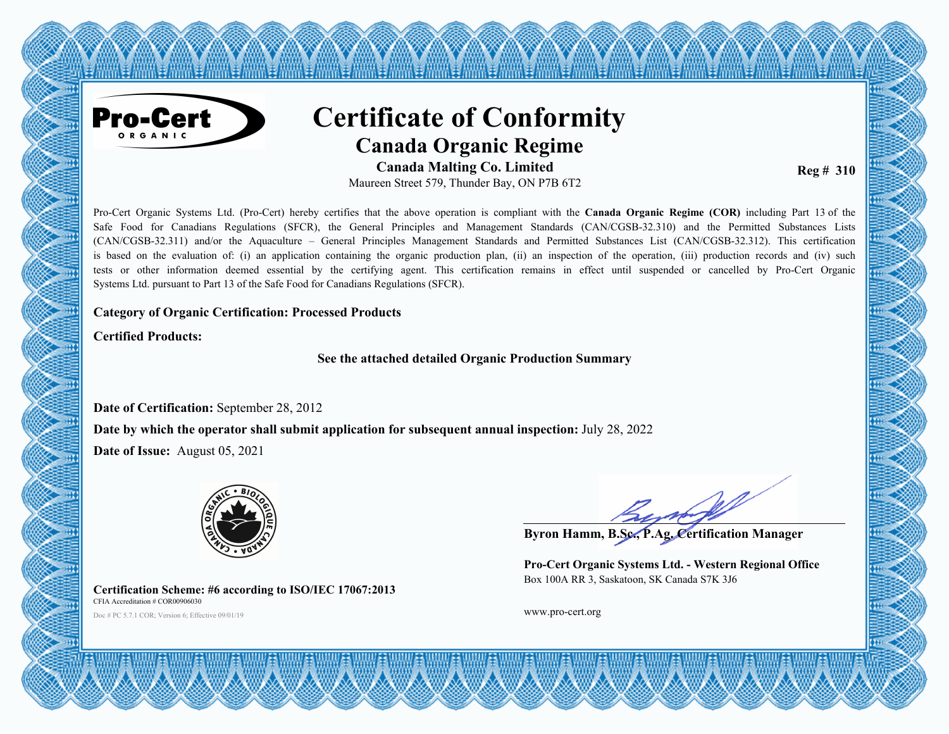

# **Certificate of Conformity Canada Organic Regime**

an an an an an an an an a

**Canada Malting Co. Limited** Maureen Street 579, Thunder Bay, ON P7B 6T2

**Reg # 310** 

Pro-Cert Organic Systems Ltd. (Pro-Cert) hereby certifies that the above operation is compliant with the **Canada Organic Regime (COR)** including Part 13 of the Safe Food for Canadians Regulations (SFCR), the General Principles and Management Standards (CAN/CGSB-32.310) and the Permitted Substances Lists (CAN/CGSB-32.311) and/or the Aquaculture – General Principles Management Standards and Permitted Substances List (CAN/CGSB-32.312). This certification is based on the evaluation of: (i) an application containing the organic production plan, (ii) an inspection of the operation, (iii) production records and (iv) such tests or other information deemed essential by the certifying agent. This certification remains in effect until suspended or cancelled by Pro-Cert Organic Systems Ltd. pursuant to Part 13 of the Safe Food for Canadians Regulations (SFCR).

#### **Category of Organic Certification: Processed Products**

**Certified Products:**

**See the attached detailed Organic Production Summary**

**Date of Certification:** September 28, 2012

**Date by which the operator shall submit application for subsequent annual inspection:** July 28, 2022

**Date of Issue:** August 05, 2021



**Certification Scheme: #6 according to ISO/IEC 17067:2013** CFIA Accreditation # COR00906030

Doc # PC 5.7.1 COR; Version 6; Effective 09/01/19 **www.pro-cert.org** 

**Byron Hamm, B.Sc., P.Ag. Certification Manager**

**Pro-Cert Organic Systems Ltd. - Western Regional Office** Box 100A RR 3, Saskatoon, SK Canada S7K 3J6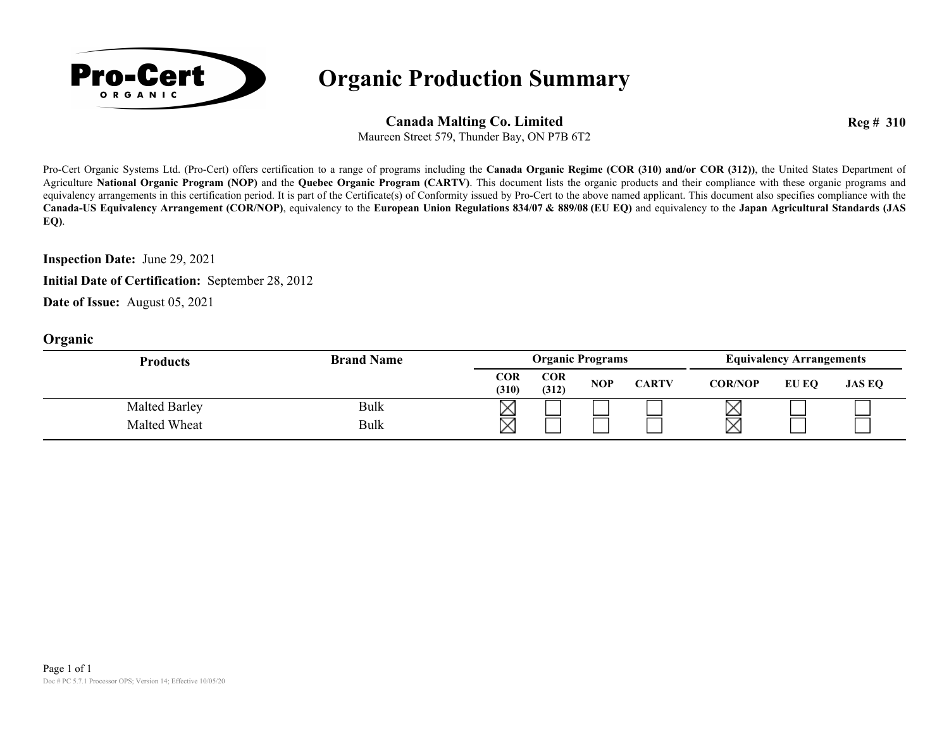

## **Organic Production Summary**

**Canada Malting Co. Limited**

**Reg # 310**

Maureen Street 579, Thunder Bay, ON P7B 6T2

Pro-Cert Organic Systems Ltd. (Pro-Cert) offers certification to a range of programs including the **Canada Organic Regime (COR (310) and/or COR (312))**, the United States Department of Agriculture **National Organic Program (NOP)** and the **Quebec Organic Program (CARTV)**. This document lists the organic products and their compliance with these organic programs and equivalency arrangements in this certification period. It is part of the Certificate(s) of Conformity issued by Pro-Cert to the above named applicant. This document also specifies compliance with the **Canada-US Equivalency Arrangement (COR/NOP)**, equivalency to the **European Union Regulations 834/07 & 889/08 (EU EQ)** and equivalency to the **Japan Agricultural Standards (JAS EQ)**.

**Inspection Date:** June 29, 2021

**Initial Date of Certification:** September 28, 2012

**Date of Issue:** August 05, 2021

#### **Organic**

| <b>Products</b> | <b>Brand Name</b> |              | <b>Organic Programs</b> |     |              |                | <b>Equivalency Arrangements</b> |               |  |
|-----------------|-------------------|--------------|-------------------------|-----|--------------|----------------|---------------------------------|---------------|--|
|                 |                   | COR<br>(310) | <b>COR</b><br>(312)     | NOP | <b>CARTV</b> | <b>COR/NOP</b> | EU EO                           | <b>JAS EQ</b> |  |
| Malted Barley   | <b>Bulk</b>       | $\times$     |                         |     |              | ⌒              |                                 |               |  |
| Malted Wheat    | Bulk              | Χ            |                         |     |              | $\times$       |                                 |               |  |